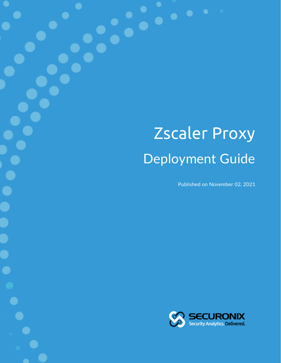# Zscaler Proxy Deployment Guide

Published on November 02, 2021

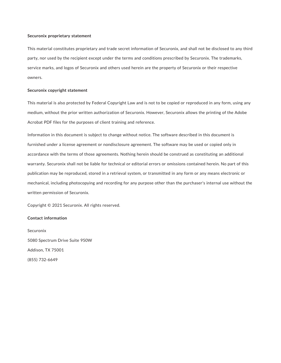#### **Securonix proprietary statement**

This material constitutes proprietary and trade secret information of Securonix, and shall not be disclosed to any third party, nor used by the recipient except under the terms and conditions prescribed by Securonix. The trademarks, service marks, and logos of Securonix and others used herein are the property of Securonix or their respective owners.

#### **Securonix copyright statement**

This material is also protected by Federal Copyright Law and is not to be copied or reproduced in any form, using any medium, without the prior written authorization of Securonix. However, Securonix allows the printing of the Adobe Acrobat PDF files for the purposes of client training and reference.

Information in this document is subject to change without notice. The software described in this document is furnished under a license agreement or nondisclosure agreement. The software may be used or copied only in accordance with the terms of those agreements. Nothing herein should be construed as constituting an additional warranty. Securonix shall not be liable for technical or editorial errors or omissions contained herein. No part of this publication may be reproduced, stored in a retrieval system, or transmitted in any form or any means electronic or mechanical, including photocopying and recording for any purpose other than the purchaser's internal use without the written permission of Securonix.

Copyright © 2021 Securonix. All rights reserved.

#### **Contact information**

Securonix 5080 Spectrum Drive Suite 950W Addison, TX 75001 (855) 732-6649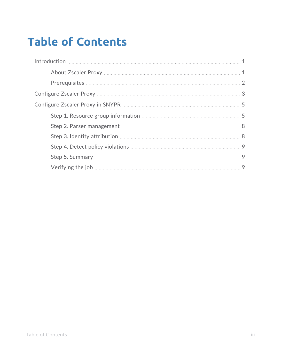## **Table of Contents**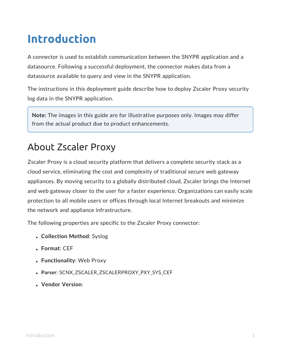## <span id="page-3-0"></span>**Introduction**

A connector is used to establish communication between the SNYPR application and a datasource. Following a successful deployment, the connector makes data from a datasource available to query and view in the SNYPR application.

The instructions in this deployment guide describe how to deploy Zscaler Proxy security log data in the SNYPR application.

**Note:** The images in this guide are for illustrative purposes only. Images may differ from the actual product due to product enhancements.

## <span id="page-3-1"></span>About Zscaler Proxy

Zscaler Proxy is a cloud security platform that delivers a complete security stack as a cloud service, eliminating the cost and complexity of traditional secure web gateway appliances. By moving security to a globally distributed cloud, Zscaler brings the Internet and web gateway closer to the user for a faster experience. Organizations can easily scale protection to all mobile users or offices through local Internet breakouts and minimize the network and appliance infrastructure.

The following properties are specific to the Zscaler Proxy connector:

- <sup>l</sup> **Collection Method**: Syslog
- <sup>l</sup> **Format**: CEF
- <sup>l</sup> **Functionality**: Web Proxy
- **. Parser: SCNX ZSCALER ZSCALERPROXY PXY SYS CEF**
- <sup>l</sup> **Vendor Version**: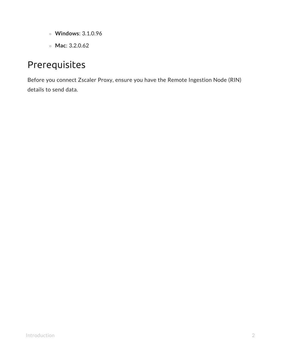- <sup>o</sup> **Windows**: 3.1.0.96
- <sup>o</sup> **Mac**: 3.2.0.62

## <span id="page-4-0"></span>Prerequisites

Before you connect Zscaler Proxy, ensure you have the Remote Ingestion Node (RIN) details to send data.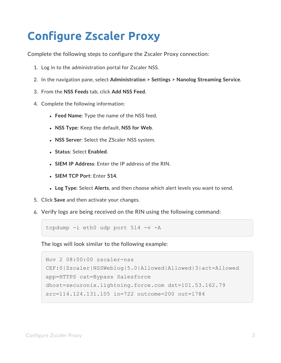## <span id="page-5-0"></span>**Configure Zscaler Proxy**

Complete the following steps to configure the Zscaler Proxy connection:

- 1. Log in to the administration portal for Zscaler NSS.
- 2. In the navigation pane, select **Administration > Settings > Nanolog Streaming Service**.
- 3. From the **NSS Feeds** tab, click **Add NSS Feed**.
- 4. Complete the following information:
	- **Feed Name:** Type the name of the NSS feed.
	- <sup>l</sup> **NSS Type**: Keep the default, **NSS for Web**.
	- **. NSS Server:** Select the ZScaler NSS system.
	- <sup>l</sup> **Status**: Select **Enabled**.
	- **.** SIEM IP Address: Enter the IP address of the RIN.
	- <sup>l</sup> **SIEM TCP Port**: Enter **514**.
	- **Log Type:** Select Alerts, and then choose which alert levels you want to send.
- 5. Click **Save** and then activate your changes.
- 6. Verify logs are being received on the RIN using the following command:

```
tcpdump -i eth0 udp port 514 -v -A
```
The logs will look similar to the following example:

```
Nov 2 08:00:00 zscaler-nss
CEF:0|Zscaler|NSSWeblog|5.0|Allowed|Allowed|3|act=Allowed
app=HTTPS cat=Bypass Salesforce
dhost=securonix.lightning.force.com dst=101.53.162.79
src=114.124.131.105 in=722 outcome=200 out=1784
```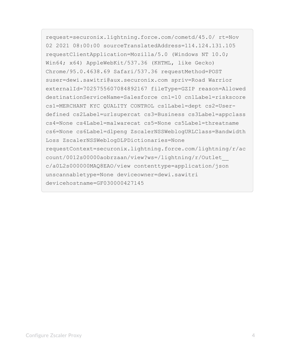request=securonix.lightning.force.com/cometd/45.0/ rt=Nov 02 2021 08:00:00 sourceTranslatedAddress=114.124.131.105 requestClientApplication=Mozilla/5.0 (Windows NT 10.0; Win64; x64) AppleWebKit/537.36 (KHTML, like Gecko) Chrome/95.0.4638.69 Safari/537.36 requestMethod=POST suser=dewi.sawitri@aux.securonix.com spriv=Road Warrior externalId=7025755607084892167 fileType=GZIP reason=Allowed destinationServiceName=Salesforce cn1=10 cn1Label=riskscore cs1=MERCHANT KYC QUALITY CONTROL cs1Label=dept cs2=Userdefined cs2Label=urlsupercat cs3=Business cs3Label=appclass cs4=None cs4Label=malwarecat cs5=None cs5Label=threatname cs6=None cs6Label=dlpeng ZscalerNSSWeblogURLClass=Bandwidth Loss ZscalerNSSWeblogDLPDictionaries=None requestContext=securonix.lightning.force.com/lightning/r/ac count/0012s00000aobrzaan/view?ws=/lightning/r/Outlet\_\_ c/a0L2s000000MAQ8EAO/view contenttype=application/json unscannabletype=None deviceowner=dewi.sawitri devicehostname=GF030000427145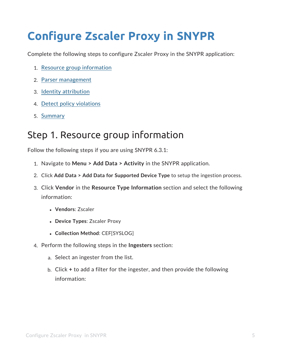## <span id="page-7-0"></span>**Configure Zscaler Proxy in SNYPR**

Complete the following steps to configure Zscaler Proxy in the SNYPR application:

- 1. Resource group [information](#page-7-1)
- 2. Parser [management](#page-10-0)
- 3. Identity [attribution](#page-10-1)
- 4. Detect policy [violations](#page-11-0)
- <span id="page-7-1"></span>5. [Summary](#page-11-1)

### Step 1. Resource group information

Follow the following steps if you are using SNYPR 6.3.1:

- 1. Navigate to **Menu > Add Data > Activity** in the SNYPR application.
- 2. Click **Add Data > Add Data for Supported Device Type** to setup the ingestion process.
- 3. Click **Vendor** in the **Resource Type Information** section and select the following information:
	- <sup>l</sup> **Vendors**: Zscaler
	- <sup>l</sup> **Device Types**: Zscaler Proxy
	- <sup>l</sup> **Collection Method**: CEF[SYSLOG]
- 4. Perform the following steps in the **Ingesters** section:
	- a. Select an ingester from the list.
	- b. Click **+** to add a filter for the ingester, and then provide the following information: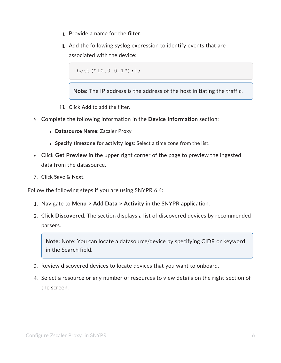- i. Provide a name for the filter.
- ii. Add the following syslog expression to identify events that are associated with the device:

 $\{host('10.0.0.1");\};$ 

**Note:** The IP address is the address of the host initiating the traffic.

- iii. Click **Add** to add the filter.
- 5. Complete the following information in the **Device Information** section:
	- <sup>l</sup> **Datasource Name**: Zscaler Proxy
	- <sup>l</sup> **Specify timezone for activity logs**: Select a time zone from the list.
- 6. Click **Get Preview** in the upper right corner of the page to preview the ingested data from the datasource.
- 7. Click **Save & Next**.

Follow the following steps if you are using SNYPR 6.4:

- 1. Navigate to **Menu > Add Data > Activity** in the SNYPR application.
- 2. Click **Discovered**. The section displays a list of discovered devices by recommended parsers.

**Note:** Note: You can locate a datasource/device by specifying CIDR or keyword in the Search field.

- 3. Review discovered devices to locate devices that you want to onboard.
- 4. Select a resource or any number of resources to view details on the right-section of the screen.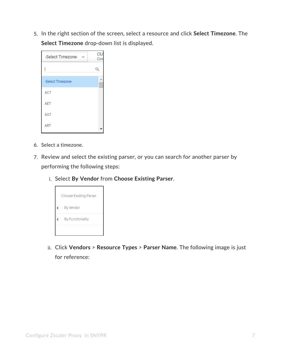5. In the right section of the screen, select a resource and click **Select Timezone**. The **Select Timezone** drop-down list is displayed.

| -Select Timezone- | CU:<br>Con |
|-------------------|------------|
|                   |            |
| -Select Timezone- |            |
| ACT               |            |
| AET               |            |
| AGT               |            |
| ART               |            |

- 6. Select a timezone.
- 7. Review and select the existing parser, or you can search for another parser by performing the following steps:
	- i. Select **By Vendor** from **Choose Existing Parser**.



ii. Click **Vendors** > **Resource Types** > **Parser Name**. The following image is just for reference: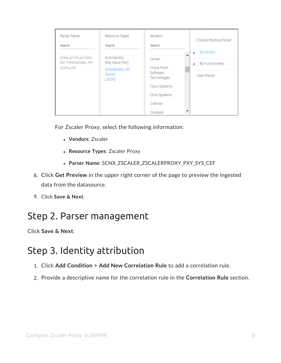| Parser Name<br>Search                     | Resource Types<br>Search          | Vendors<br>Search        | Choose Existing Parser     |
|-------------------------------------------|-----------------------------------|--------------------------|----------------------------|
|                                           |                                   |                          | <b>By Vendor</b><br>←<br>ᆂ |
| SCNX_ACTIVI_ACTIVID<br>ENTITYHIDGLOBAL_PH | Actividentity<br>[Key Value Pair] | Cerner                   | By Functionality<br>Ł      |
| Y_SYS_JSO                                 | Actividentity HID                 | Check Point              |                            |
|                                           | Global<br>[JSON]                  | Software<br>Technologies | Clear Parser               |
|                                           |                                   | Cisco Systems            |                            |
|                                           |                                   | Citrix Systems           |                            |
|                                           |                                   | Cofense                  |                            |
|                                           |                                   | Corelight                |                            |

For Zscaler Proxy, select the following information:

- **· Vendors: Zscaler**
- <sup>l</sup> **Resource Types**: Zscaler Proxy
- <sup>l</sup> **Parser Name**: SCNX\_ZSCALER\_ZSCALERPROXY\_PXY\_SYS\_CEF
- 8. Click **Get Preview** in the upper right corner of the page to preview the ingested data from the datasource.
- <span id="page-10-0"></span>9. Click **Save & Next**.

### Step 2. Parser management

<span id="page-10-1"></span>Click **Save & Next**.

### Step 3. Identity attribution

- 1. Click **Add Condition > Add New Correlation Rule** to add a correlation rule.
- 2. Provide a descriptive name for the correlation rule in the **Correlation Rule** section.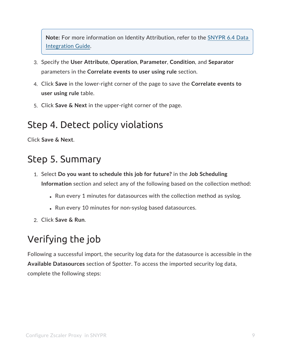**Note:** For more information on Identity Attribution, refer to the [SNYPR](https://documentation.securonix.com/onlinedoc/Content/6.4 Cloud/Content/SNYPR 6.4/6.4 Guides/Data Integration Guide/6.4 Activity Data_Step3 Identity Attribution.htm#Identity) 6.4 Data [Integration](https://documentation.securonix.com/onlinedoc/Content/6.4 Cloud/Content/SNYPR 6.4/6.4 Guides/Data Integration Guide/6.4 Activity Data_Step3 Identity Attribution.htm#Identity) Guide.

- 3. Specify the **User Attribute**, **Operation**, **Parameter**, **Condition**, and **Separator** parameters in the **Correlate events to user using rule** section.
- 4. Click **Save** in the lower-right corner of the page to save the **Correlate events to user using rule** table.
- <span id="page-11-0"></span>5. Click **Save & Next** in the upper-right corner of the page.

## Step 4. Detect policy violations

<span id="page-11-1"></span>Click **Save & Next**.

### Step 5. Summary

- 1. Select **Do you want to schedule this job for future?** in the **Job Scheduling Information** section and select any of the following based on the collection method:
	- Run every 1 minutes for datasources with the collection method as syslog.
	- Run every 10 minutes for non-syslog based datasources.
- <span id="page-11-2"></span>2. Click **Save & Run**.

## Verifying the job

Following a successful import, the security log data for the datasource is accessible in the **Available Datasources** section of Spotter. To access the imported security log data, complete the following steps: